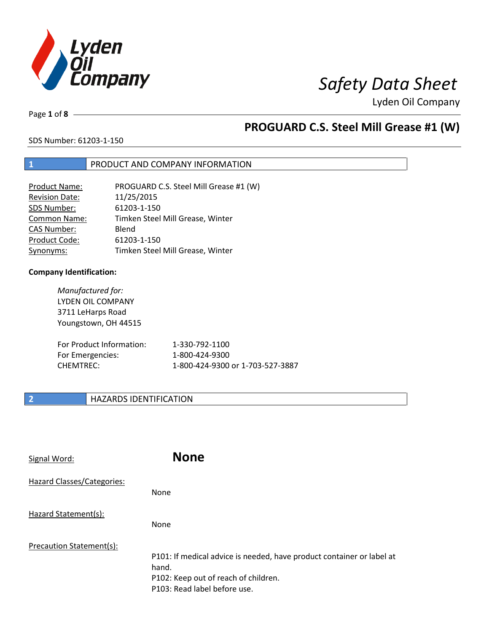

Page **1** of **8**

## **PROGUARD C.S. Steel Mill Grease #1 (W)**

SDS Number: 61203-1-150

## **1** PRODUCT AND COMPANY INFORMATION

| <b>Product Name:</b>  | PROGUARD C.S. Steel Mill Grease #1 (W) |
|-----------------------|----------------------------------------|
| <b>Revision Date:</b> | 11/25/2015                             |
| SDS Number:           | 61203-1-150                            |
| <b>Common Name:</b>   | Timken Steel Mill Grease, Winter       |
| <b>CAS Number:</b>    | Blend                                  |
| Product Code:         | 61203-1-150                            |
| Synonyms:             | Timken Steel Mill Grease, Winter       |

## **Company Identification:**

*Manufactured for:* LYDEN OIL COMPANY 3711 LeHarps Road Youngstown, OH 44515 For Product Information: 1-330-792-1100 For Emergencies: 1-800-424-9300 CHEMTREC: 1-800-424-9300 or 1-703-527-3887

## **2 HAZARDS IDENTIFICATION**

| Signal Word:               | <b>None</b>                                                                                                                                            |
|----------------------------|--------------------------------------------------------------------------------------------------------------------------------------------------------|
| Hazard Classes/Categories: | None                                                                                                                                                   |
| Hazard Statement(s):       | <b>None</b>                                                                                                                                            |
| Precaution Statement(s):   | P101: If medical advice is needed, have product container or label at<br>hand.<br>P102: Keep out of reach of children.<br>P103: Read label before use. |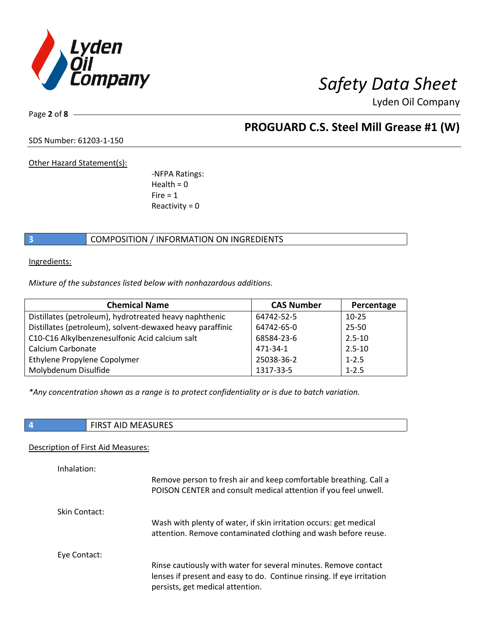

Page **2** of **8**

## **PROGUARD C.S. Steel Mill Grease #1 (W)**

SDS Number: 61203-1-150

Other Hazard Statement(s):

-NFPA Ratings:  $Health = 0$  $Fire = 1$ Reactivity  $= 0$ 

## **3** COMPOSITION / INFORMATION ON INGREDIENTS

Ingredients:

*Mixture of the substances listed below with nonhazardous additions.*

| <b>Chemical Name</b>                                      | <b>CAS Number</b> | Percentage |
|-----------------------------------------------------------|-------------------|------------|
| Distillates (petroleum), hydrotreated heavy naphthenic    | 64742-52-5        | $10 - 25$  |
| Distillates (petroleum), solvent-dewaxed heavy paraffinic | 64742-65-0        | 25-50      |
| C10-C16 Alkylbenzenesulfonic Acid calcium salt            | 68584-23-6        | $2.5 - 10$ |
| Calcium Carbonate                                         | 471-34-1          | $2.5 - 10$ |
| Ethylene Propylene Copolymer                              | 25038-36-2        | $1 - 2.5$  |
| Molybdenum Disulfide                                      | 1317-33-5         | $1 - 2.5$  |

*\*Any concentration shown as a range is to protect confidentiality or is due to batch variation.*

| $\mathbf{r}$<br>$\sim$ $\sim$ $\sim$<br><b>FINST AID IVIEASUNES</b> |
|---------------------------------------------------------------------|

## Description of First Aid Measures:

| Inhalation:   |                                                                                                                                                                              |
|---------------|------------------------------------------------------------------------------------------------------------------------------------------------------------------------------|
|               | Remove person to fresh air and keep comfortable breathing. Call a<br>POISON CENTER and consult medical attention if you feel unwell.                                         |
| Skin Contact: |                                                                                                                                                                              |
|               | Wash with plenty of water, if skin irritation occurs: get medical<br>attention. Remove contaminated clothing and wash before reuse.                                          |
| Eye Contact:  |                                                                                                                                                                              |
|               | Rinse cautiously with water for several minutes. Remove contact<br>lenses if present and easy to do. Continue rinsing. If eye irritation<br>persists, get medical attention. |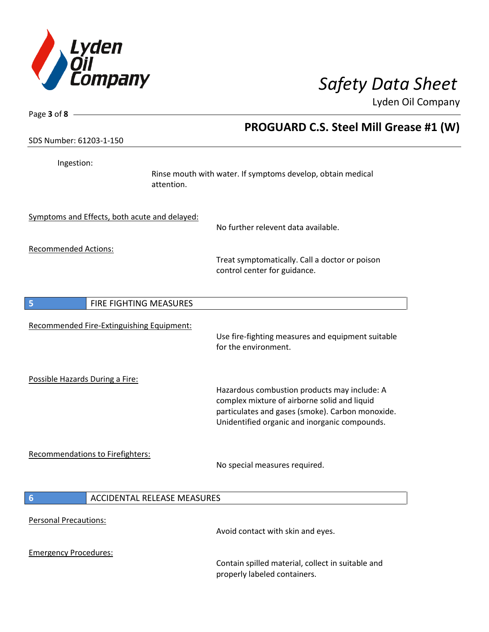

| Page $3$ of $8$ -                                     |                                                                                                                                                                                                   |
|-------------------------------------------------------|---------------------------------------------------------------------------------------------------------------------------------------------------------------------------------------------------|
|                                                       | <b>PROGUARD C.S. Steel Mill Grease #1 (W)</b>                                                                                                                                                     |
| SDS Number: 61203-1-150                               |                                                                                                                                                                                                   |
| Ingestion:<br>attention.                              | Rinse mouth with water. If symptoms develop, obtain medical                                                                                                                                       |
| Symptoms and Effects, both acute and delayed:         | No further relevent data available.                                                                                                                                                               |
| <b>Recommended Actions:</b>                           | Treat symptomatically. Call a doctor or poison<br>control center for guidance.                                                                                                                    |
| FIRE FIGHTING MEASURES<br>5                           |                                                                                                                                                                                                   |
| Recommended Fire-Extinguishing Equipment:             |                                                                                                                                                                                                   |
|                                                       | Use fire-fighting measures and equipment suitable<br>for the environment.                                                                                                                         |
| Possible Hazards During a Fire:                       | Hazardous combustion products may include: A<br>complex mixture of airborne solid and liquid<br>particulates and gases (smoke). Carbon monoxide.<br>Unidentified organic and inorganic compounds. |
| Recommendations to Firefighters:                      | No special measures required.                                                                                                                                                                     |
| <b>ACCIDENTAL RELEASE MEASURES</b><br>$6\phantom{1}6$ |                                                                                                                                                                                                   |
| <b>Personal Precautions:</b>                          | Avoid contact with skin and eyes.                                                                                                                                                                 |
| <b>Emergency Procedures:</b>                          | Contain spilled material, collect in suitable and<br>properly labeled containers.                                                                                                                 |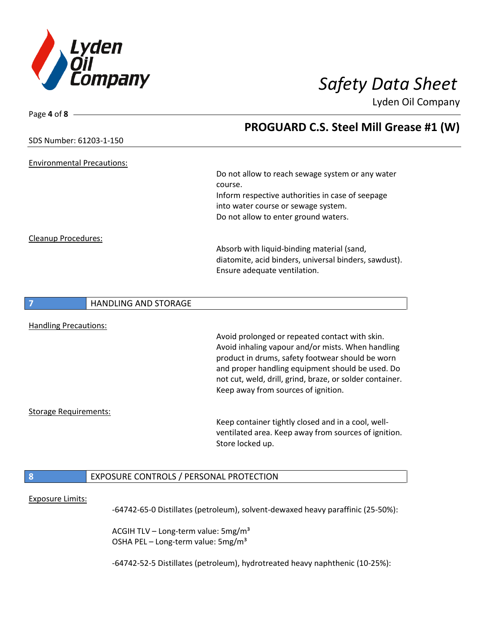

| Page 4 of 8<br><b>PROGUARD C.S. Steel Mill Grease #1 (W)</b><br>SDS Number: 61203-1-150<br><b>Environmental Precautions:</b><br>Do not allow to reach sewage system or any water<br>course.<br>Inform respective authorities in case of seepage<br>into water course or sewage system.<br>Do not allow to enter ground waters.<br>Cleanup Procedures:<br>Absorb with liquid-binding material (sand,<br>diatomite, acid binders, universal binders, sawdust).<br>Ensure adequate ventilation. |  |
|----------------------------------------------------------------------------------------------------------------------------------------------------------------------------------------------------------------------------------------------------------------------------------------------------------------------------------------------------------------------------------------------------------------------------------------------------------------------------------------------|--|
|                                                                                                                                                                                                                                                                                                                                                                                                                                                                                              |  |
|                                                                                                                                                                                                                                                                                                                                                                                                                                                                                              |  |
|                                                                                                                                                                                                                                                                                                                                                                                                                                                                                              |  |
|                                                                                                                                                                                                                                                                                                                                                                                                                                                                                              |  |
|                                                                                                                                                                                                                                                                                                                                                                                                                                                                                              |  |
|                                                                                                                                                                                                                                                                                                                                                                                                                                                                                              |  |
|                                                                                                                                                                                                                                                                                                                                                                                                                                                                                              |  |
|                                                                                                                                                                                                                                                                                                                                                                                                                                                                                              |  |
|                                                                                                                                                                                                                                                                                                                                                                                                                                                                                              |  |
|                                                                                                                                                                                                                                                                                                                                                                                                                                                                                              |  |
|                                                                                                                                                                                                                                                                                                                                                                                                                                                                                              |  |
|                                                                                                                                                                                                                                                                                                                                                                                                                                                                                              |  |
|                                                                                                                                                                                                                                                                                                                                                                                                                                                                                              |  |
| <b>HANDLING AND STORAGE</b><br>7                                                                                                                                                                                                                                                                                                                                                                                                                                                             |  |
| <b>Handling Precautions:</b>                                                                                                                                                                                                                                                                                                                                                                                                                                                                 |  |
| Avoid prolonged or repeated contact with skin.                                                                                                                                                                                                                                                                                                                                                                                                                                               |  |
| Avoid inhaling vapour and/or mists. When handling                                                                                                                                                                                                                                                                                                                                                                                                                                            |  |
| product in drums, safety footwear should be worn                                                                                                                                                                                                                                                                                                                                                                                                                                             |  |
| and proper handling equipment should be used. Do                                                                                                                                                                                                                                                                                                                                                                                                                                             |  |
| not cut, weld, drill, grind, braze, or solder container.                                                                                                                                                                                                                                                                                                                                                                                                                                     |  |
| Keep away from sources of ignition.                                                                                                                                                                                                                                                                                                                                                                                                                                                          |  |
| <b>Storage Requirements:</b>                                                                                                                                                                                                                                                                                                                                                                                                                                                                 |  |
| Keep container tightly closed and in a cool, well-                                                                                                                                                                                                                                                                                                                                                                                                                                           |  |
| ventilated area. Keep away from sources of ignition.                                                                                                                                                                                                                                                                                                                                                                                                                                         |  |
| Store locked up.                                                                                                                                                                                                                                                                                                                                                                                                                                                                             |  |
|                                                                                                                                                                                                                                                                                                                                                                                                                                                                                              |  |
| EXPOSURE CONTROLS / PERSONAL PROTECTION<br>8                                                                                                                                                                                                                                                                                                                                                                                                                                                 |  |

### Exposure Limits:

-64742-65-0 Distillates (petroleum), solvent-dewaxed heavy paraffinic (25-50%):

ACGIH TLV – Long-term value:  $5mg/m<sup>3</sup>$ OSHA PEL - Long-term value: 5mg/m<sup>3</sup>

-64742-52-5 Distillates (petroleum), hydrotreated heavy naphthenic (10-25%):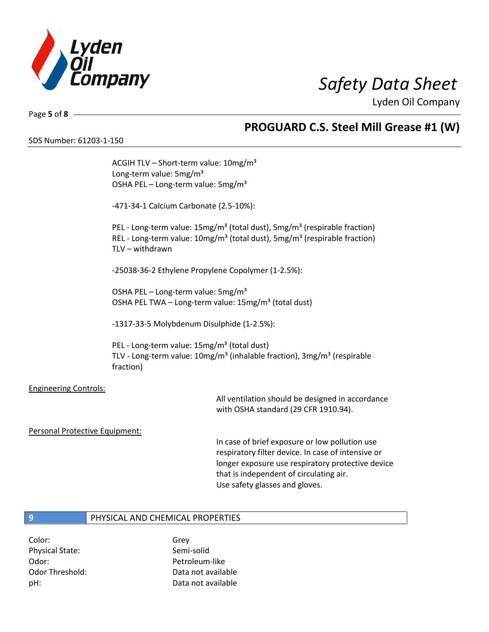

Page **5** of **8**

SDS Number: 61203-1-150

## **PROGUARD C.S. Steel Mill Grease #1 (W)**

ACGIH TLV - Short-term value: 10mg/m<sup>3</sup> Long-term value: 5mg/m<sup>3</sup> OSHA PEL - Long-term value: 5mg/m<sup>3</sup> -471-34-1 Calcium Carbonate (2.5-10%): PEL - Long-term value: 15mg/m<sup>3</sup> (total dust), 5mg/m<sup>3</sup> (respirable fraction) REL - Long-term value:  $10$ mg/m<sup>3</sup> (total dust), 5mg/m<sup>3</sup> (respirable fraction) TLV – withdrawn -25038-36-2 Ethylene Propylene Copolymer (1-2.5%): OSHA PEL – Long-term value: 5mg/m<sup>3</sup> OSHA PEL TWA - Long-term value: 15mg/m<sup>3</sup> (total dust) -1317-33-5 Molybdenum Disulphide (1-2.5%): PEL - Long-term value: 15mg/m<sup>3</sup> (total dust) TLV - Long-term value: 10mg/m<sup>3</sup> (inhalable fraction), 3mg/m<sup>3</sup> (respirable fraction) Engineering Controls: All ventilation should be designed in accordance with OSHA standard (29 CFR 1910.94).

Personal Protective Equipment:

In case of brief exposure or low pollution use respiratory filter device. In case of intensive or longer exposure use respiratory protective device that is independent of circulating air. Use safety glasses and gloves.

## **9** PHYSICAL AND CHEMICAL PROPERTIES

Color: Grey Physical State: Semi-solid Odor: Petroleum-like

Odor Threshold: Data not available pH: Data not available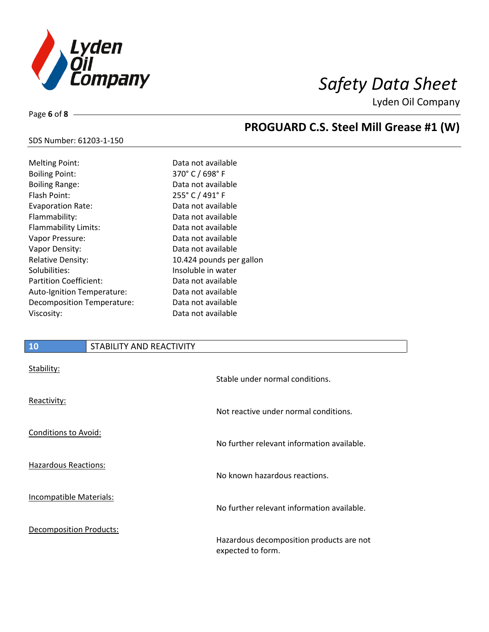

Page **6** of **8**

# **PROGUARD C.S. Steel Mill Grease #1 (W)**

### SDS Number: 61203-1-150

| <b>Melting Point:</b>         | Dat  |
|-------------------------------|------|
| <b>Boiling Point:</b>         | 370  |
| <b>Boiling Range:</b>         | Dat  |
| Flash Point:                  | 255  |
| <b>Evaporation Rate:</b>      | Dat  |
| Flammability:                 | Dat  |
| <b>Flammability Limits:</b>   | Dat  |
| Vapor Pressure:               | Dat  |
| Vapor Density:                | Dat  |
| Relative Density:             | ،10  |
| Solubilities:                 | lnso |
| <b>Partition Coefficient:</b> | Dat  |
| Auto-Ignition Temperature:    | Dat  |
| Decomposition Temperature:    | Dat  |
| Viscosity:                    | Dat  |

ta not available  $0^{\circ}$  C / 698° F ta not available  $5^{\circ}$  C / 491° F ta not available ta not available ta not available ta not available ta not available 424 pounds per gallon oluble in water ta not available ta not available ta not available ta not available

## **10** STABILITY AND REACTIVITY

| Stability:                     | Stable under normal conditions.                               |
|--------------------------------|---------------------------------------------------------------|
| Reactivity:                    | Not reactive under normal conditions.                         |
| <b>Conditions to Avoid:</b>    | No further relevant information available.                    |
| <b>Hazardous Reactions:</b>    | No known hazardous reactions.                                 |
| <b>Incompatible Materials:</b> | No further relevant information available.                    |
| <b>Decomposition Products:</b> | Hazardous decomposition products are not<br>expected to form. |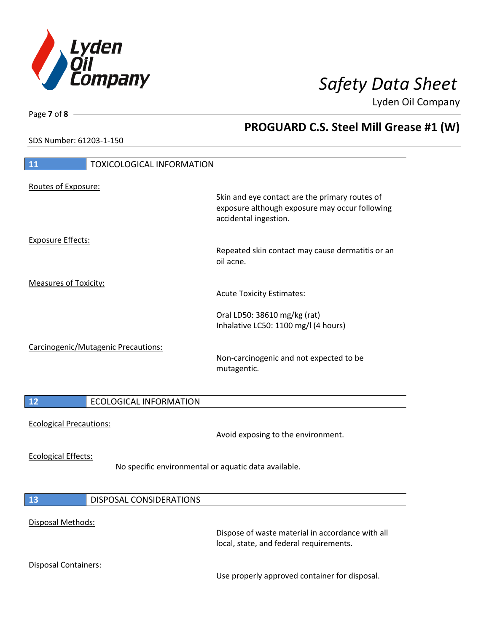

**PROGUARD C.S. Steel Mill Grease #1 (W)**

Lyden Oil Company

SDS Number: 61203-1-150

Page **7** of **8**

| <b>TOXICOLOGICAL INFORMATION</b><br>11                                             |                                                                                                                           |
|------------------------------------------------------------------------------------|---------------------------------------------------------------------------------------------------------------------------|
| Routes of Exposure:                                                                | Skin and eye contact are the primary routes of<br>exposure although exposure may occur following<br>accidental ingestion. |
| <b>Exposure Effects:</b>                                                           | Repeated skin contact may cause dermatitis or an<br>oil acne.                                                             |
| <b>Measures of Toxicity:</b>                                                       | <b>Acute Toxicity Estimates:</b>                                                                                          |
|                                                                                    | Oral LD50: 38610 mg/kg (rat)<br>Inhalative LC50: 1100 mg/l (4 hours)                                                      |
| Carcinogenic/Mutagenic Precautions:                                                | Non-carcinogenic and not expected to be<br>mutagentic.                                                                    |
| 12<br><b>ECOLOGICAL INFORMATION</b>                                                |                                                                                                                           |
| <b>Ecological Precautions:</b>                                                     | Avoid exposing to the environment.                                                                                        |
| <b>Ecological Effects:</b><br>No specific environmental or aquatic data available. |                                                                                                                           |
| <b>DISPOSAL CONSIDERATIONS</b><br>13                                               |                                                                                                                           |
| Disposal Methods:                                                                  | Dispose of waste material in accordance with all<br>local, state, and federal requirements.                               |
| <b>Disposal Containers:</b>                                                        | Use properly approved container for disposal.                                                                             |